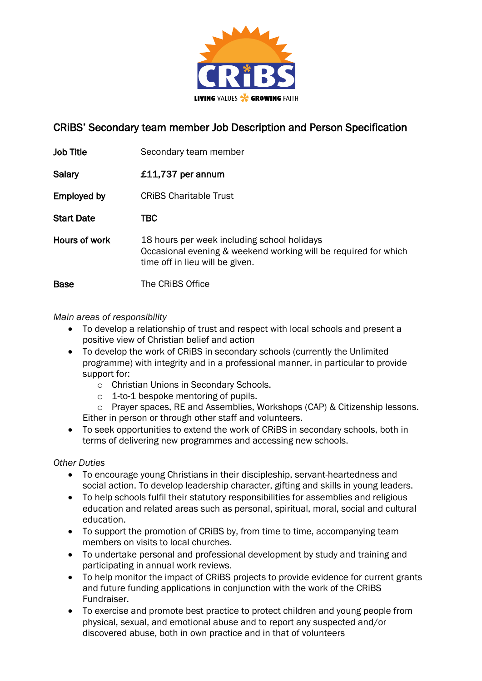

# CRiBS' Secondary team member Job Description and Person Specification

Job Title Secondary team member

Salary **£11,737** per annum

Employed by CRiBS Charitable Trust

Start Date TBC

Hours of work 18 hours per week including school holidays Occasional evening & weekend working will be required for which time off in lieu will be given.

### Base The CRiBS Office

### *Main areas of responsibility*

- To develop a relationship of trust and respect with local schools and present a positive view of Christian belief and action
- To develop the work of CRiBS in secondary schools (currently the Unlimited programme) with integrity and in a professional manner, in particular to provide support for:
	- o Christian Unions in Secondary Schools.
	- o 1-to-1 bespoke mentoring of pupils.
	- o Prayer spaces, RE and Assemblies, Workshops (CAP) & Citizenship lessons. Either in person or through other staff and volunteers.
- To seek opportunities to extend the work of CRiBS in secondary schools, both in terms of delivering new programmes and accessing new schools.

## *Other Duties*

- To encourage young Christians in their discipleship, servant-heartedness and social action. To develop leadership character, gifting and skills in young leaders.
- To help schools fulfil their statutory responsibilities for assemblies and religious education and related areas such as personal, spiritual, moral, social and cultural education.
- To support the promotion of CRiBS by, from time to time, accompanying team members on visits to local churches.
- To undertake personal and professional development by study and training and participating in annual work reviews.
- To help monitor the impact of CRiBS projects to provide evidence for current grants and future funding applications in conjunction with the work of the CRiBS Fundraiser.
- To exercise and promote best practice to protect children and young people from physical, sexual, and emotional abuse and to report any suspected and/or discovered abuse, both in own practice and in that of volunteers